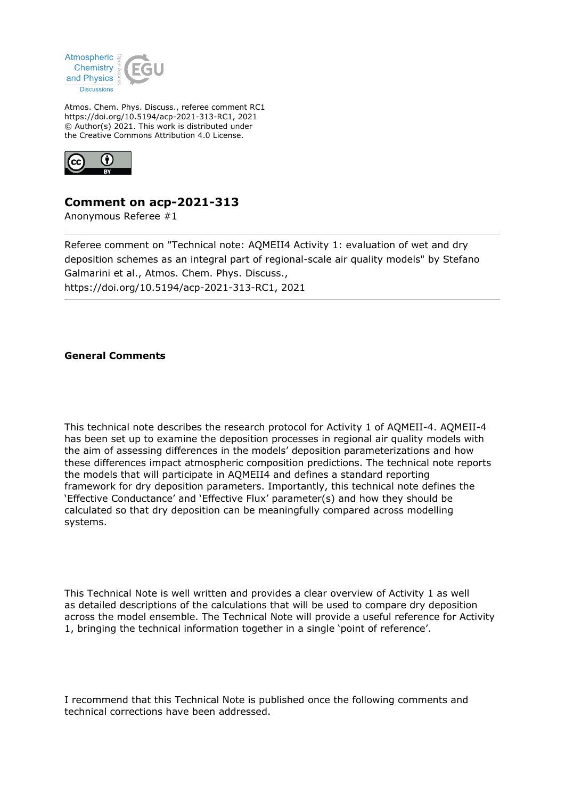

Atmos. Chem. Phys. Discuss., referee comment RC1 https://doi.org/10.5194/acp-2021-313-RC1, 2021 © Author(s) 2021. This work is distributed under the Creative Commons Attribution 4.0 License.



## **Comment on acp-2021-313**

Anonymous Referee #1

Referee comment on "Technical note: AQMEII4 Activity 1: evaluation of wet and dry deposition schemes as an integral part of regional-scale air quality models" by Stefano Galmarini et al., Atmos. Chem. Phys. Discuss., https://doi.org/10.5194/acp-2021-313-RC1, 2021

## **General Comments**

This technical note describes the research protocol for Activity 1 of AQMEII-4. AQMEII-4 has been set up to examine the deposition processes in regional air quality models with the aim of assessing differences in the models' deposition parameterizations and how these differences impact atmospheric composition predictions. The technical note reports the models that will participate in AQMEII4 and defines a standard reporting framework for dry deposition parameters. Importantly, this technical note defines the 'Effective Conductance' and 'Effective Flux' parameter(s) and how they should be calculated so that dry deposition can be meaningfully compared across modelling systems.

This Technical Note is well written and provides a clear overview of Activity 1 as well as detailed descriptions of the calculations that will be used to compare dry deposition across the model ensemble. The Technical Note will provide a useful reference for Activity 1, bringing the technical information together in a single 'point of reference'.

I recommend that this Technical Note is published once the following comments and technical corrections have been addressed.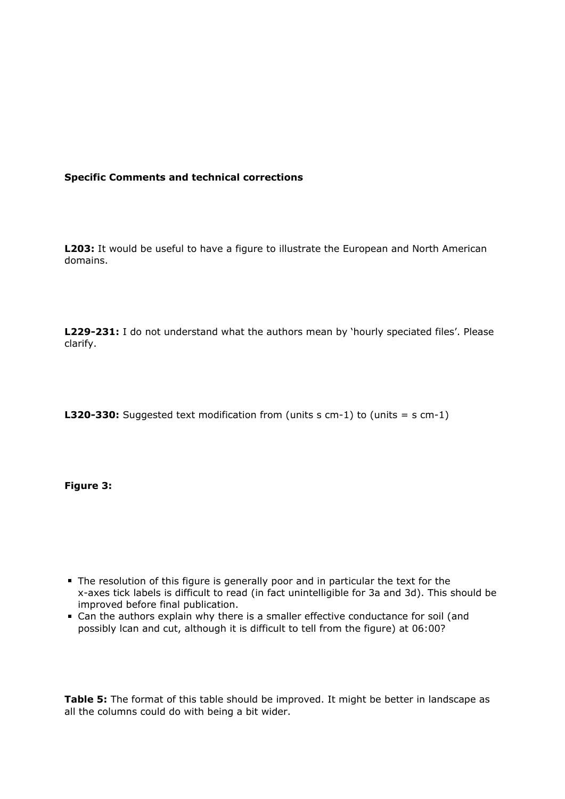## **Specific Comments and technical corrections**

**L203:** It would be useful to have a figure to illustrate the European and North American domains.

**L229-231:** I do not understand what the authors mean by 'hourly speciated files'. Please clarify.

**L320-330:** Suggested text modification from (units s cm-1) to (units = s cm-1)

**Figure 3:**

- The resolution of this figure is generally poor and in particular the text for the x-axes tick labels is difficult to read (in fact unintelligible for 3a and 3d). This should be improved before final publication.
- Can the authors explain why there is a smaller effective conductance for soil (and possibly lcan and cut, although it is difficult to tell from the figure) at 06:00?

**Table 5:** The format of this table should be improved. It might be better in landscape as all the columns could do with being a bit wider.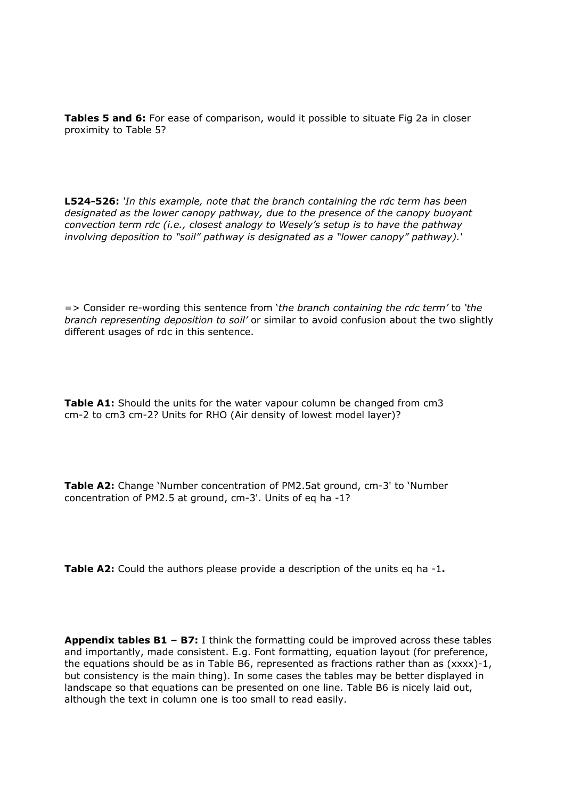**Tables 5 and 6:** For ease of comparison, would it possible to situate Fig 2a in closer proximity to Table 5?

**L524-526:** *'In this example, note that the branch containing the rdc term has been designated as the lower canopy pathway, due to the presence of the canopy buoyant convection term rdc (i.e., closest analogy to Wesely's setup is to have the pathway involving deposition to "soil" pathway is designated as a "lower canopy" pathway).'*

=> Consider re-wording this sentence from '*the branch containing the rdc term'* to *'the branch representing deposition to soil'* or similar to avoid confusion about the two slightly different usages of rdc in this sentence.

**Table A1:** Should the units for the water vapour column be changed from cm3 cm-2 to cm3 cm-2? Units for RHO (Air density of lowest model layer)?

**Table A2:** Change 'Number concentration of PM2.5at ground, cm-3' to 'Number concentration of PM2.5 at ground, cm-3'. Units of eq ha -1?

**Table A2:** Could the authors please provide a description of the units eq ha -1**.**

**Appendix tables B1 – B7:** I think the formatting could be improved across these tables and importantly, made consistent. E.g. Font formatting, equation layout (for preference, the equations should be as in Table B6, represented as fractions rather than as (xxxx)-1, but consistency is the main thing). In some cases the tables may be better displayed in landscape so that equations can be presented on one line. Table B6 is nicely laid out, although the text in column one is too small to read easily.